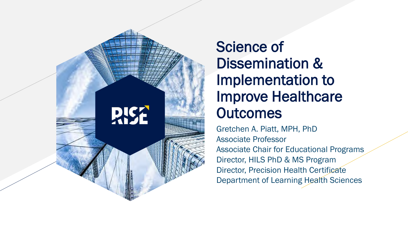

# Science of Dissemination & Implementation to Improve Healthcare **Outcomes**

Gretchen A. Piatt, MPH, PhD Associate Professor Associate Chair for Educational Programs Director, HILS PhD & MS Program Director, Precision Health Certificate Department of Learning Health Sciences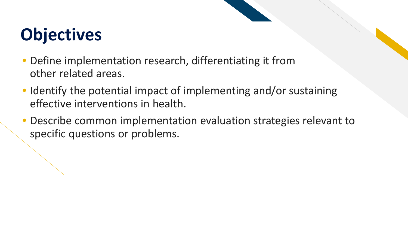# **Objectives**

- Define implementation research, differentiating it from other related areas.
- Identify the potential impact of implementing and/or sustaining effective interventions in health.
- Describe common implementation evaluation strategies relevant to specific questions or problems.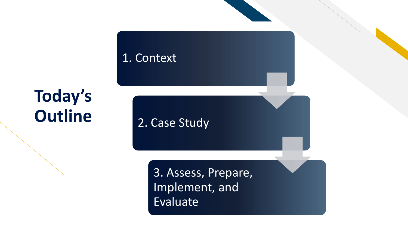

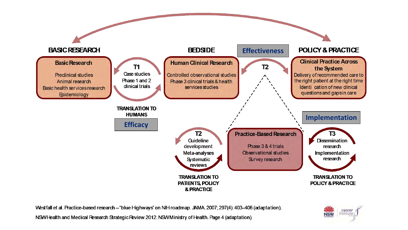

Westfall et al. Practice-based research - "blue Highways" on NIH roadmap. JAMA. 2007; 297(4): 403-406 (adaptation).



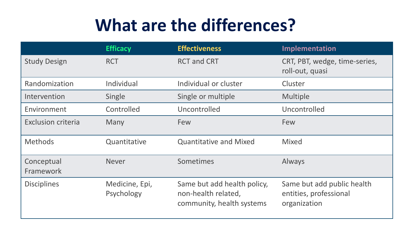# **What are the differences?**

|                           | <b>Efficacy</b>              | <b>Effectiveness</b>                                                            | Implementation                                                       |
|---------------------------|------------------------------|---------------------------------------------------------------------------------|----------------------------------------------------------------------|
| <b>Study Design</b>       | <b>RCT</b>                   | <b>RCT and CRT</b>                                                              | CRT, PBT, wedge, time-series,<br>roll-out, quasi                     |
| Randomization             | Individual                   | Individual or cluster                                                           | Cluster                                                              |
| Intervention              | Single                       | Single or multiple                                                              | Multiple                                                             |
| Environment               | Controlled                   | Uncontrolled                                                                    | Uncontrolled                                                         |
| <b>Exclusion criteria</b> | Many                         | Few                                                                             | Few                                                                  |
| <b>Methods</b>            | Quantitative                 | <b>Quantitative and Mixed</b>                                                   | <b>Mixed</b>                                                         |
| Conceptual<br>Framework   | <b>Never</b>                 | Sometimes                                                                       | Always                                                               |
| <b>Disciplines</b>        | Medicine, Epi,<br>Psychology | Same but add health policy,<br>non-health related,<br>community, health systems | Same but add public health<br>entities, professional<br>organization |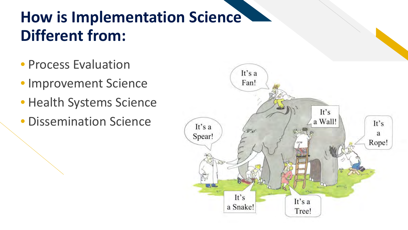# **How is Implementation Science Different from:**

- Process Evaluation
- Improvement Science
- Health Systems Science
- Dissemination Science

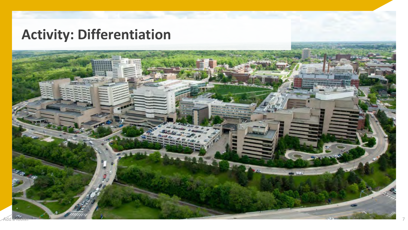# **Activity: Differentiation**

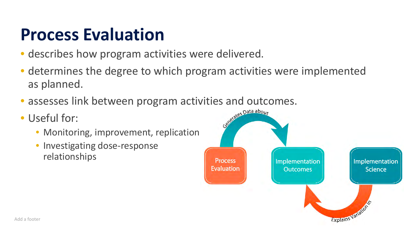# **Process Evaluation**

- describes how program activities were delivered.
- determines the degree to which program activities were implemented as planned.
- assesses link between program activities and outcomes.<br>• Useful for:
- Useful for:
	- Monitoring, improvement, replication
	- Investigating dose-response relationships

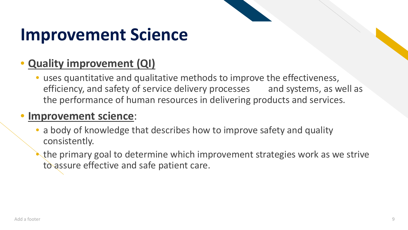# **Improvement Science**

## • **Quality improvement (QI)**

• uses quantitative and qualitative methods to improve the effectiveness, efficiency, and safety of service delivery processes and systems, as well as the performance of human resources in delivering products and services.

## • **Improvement science**:

- a body of knowledge that describes how to improve safety and quality consistently.
	- the primary goal to determine which improvement strategies work as we strive to assure effective and safe patient care.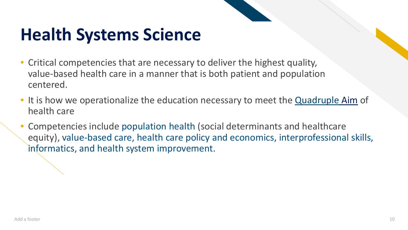# **Health Systems Science**

- Critical competencies that are necessary to deliver the highest quality, value-based health care in a manner that is both patient and population centered.
- It is how we operationalize the education necessary to meet the **Quadruple [Aim](http://www.ihi.org/Engage/Initiatives/TripleAim/Pages/default.aspx)** of health care
- Competencies include population health (social determinants and healthcare equity), value-based care, health care policy and economics, interprofessional skills, informatics, and health system improvement.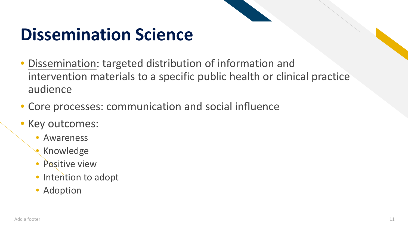# **Dissemination Science**

- Dissemination: targeted distribution of information and intervention materials to a specific public health or clinical practice audience
- Core processes: communication and social influence
- Key outcomes:
	- **Awareness**
	- Knowledge
	- Positive view
	- Intention to adopt
	- Adoption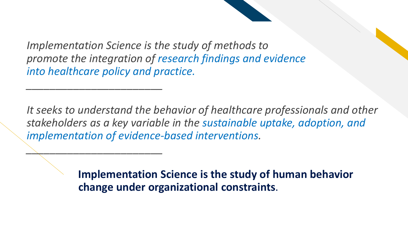*Implementation Science is the study of methods to promote the integration of research findings and evidence into healthcare policy and practice.*

*\_\_\_\_\_\_\_\_\_\_\_\_\_\_\_\_\_\_\_\_\_\_\_*

*\_\_\_\_\_\_\_\_\_\_\_\_\_\_\_\_\_\_\_\_\_\_\_*

*It seeks to understand the behavior of healthcare professionals and other stakeholders as a key variable in the sustainable uptake, adoption, and implementation of evidence-based interventions.*

> **Implementation Science is the study of human behavior change under organizational constraints**.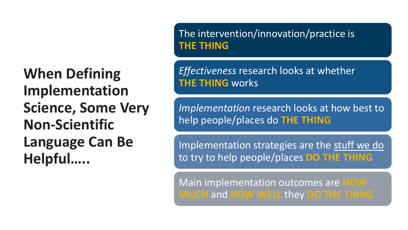**When Defining Implementation Science, Some Very Non-Scientific Language Can Be Helpful…..**

The intervention/innovation/practice is **THE THING**

*Effectiveness* research looks at whether **THE THING** works

*Implementation* research looks at how best to help people/places do **THE THING**

Implementation strategies are the stuff we do to try to help people/places **DO THE THING**

Main implementation outcomes are **HOW MUCH** and **HOW WELL** they **DO THE THING**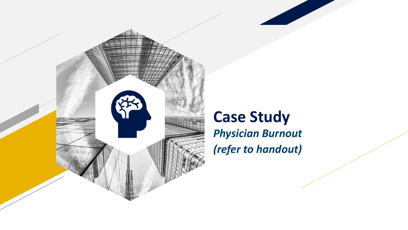

# **Case Study** *Physician Burnout (refer to handout)*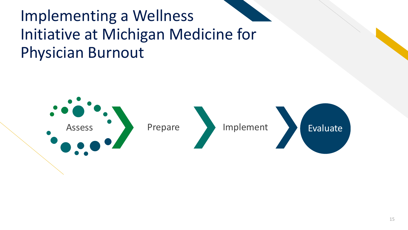# Implementing a Wellness Initiative at Michigan Medicine for Physician Burnout

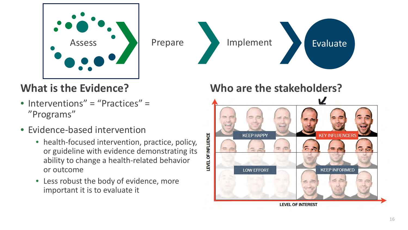

# Assess and Prepare and Implement and Evaluate

## **What is the Evidence?**

- Interventions" = "Practices" = "Programs"
- Evidence-based intervention
	- health-focused intervention, practice, policy, or guideline with evidence demonstrating its ability to change a health-related behavior or outcome
	- Less robust the body of evidence, more important it is to evaluate it

## **Who are the stakeholders?**

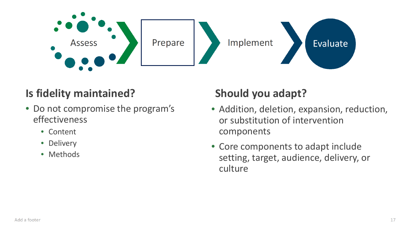

## **Is fidelity maintained? Should you adapt?**

- Do not compromise the program's effectiveness
	- Content
	- Delivery
	- Methods

- Addition, deletion, expansion, reduction, or substitution of intervention components
- Core components to adapt include setting, target, audience, delivery, or culture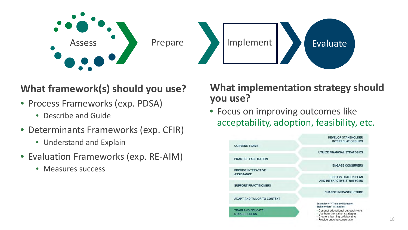

### **What framework(s) should you use?**

- Process Frameworks (exp. PDSA)
	- Describe and Guide
- Determinants Frameworks (exp. CFIR)
	- Understand and Explain
- Evaluation Frameworks (exp. RE-AIM)
	- Measures success

#### **What implementation strategy should you use?**

• Focus on improving outcomes like acceptability, adoption, feasibility, etc.

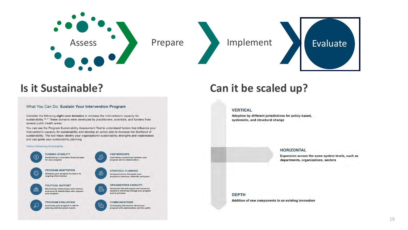





#### What You Can Do: Sustain Your Intervention Program

Consider the following eight core domains to increase the intervention's capacity for sustainability.<sup>36.37</sup> These domains were developed by practitioners, scientists, and funders from several public health areas.

You can use the Program Sustainability Assessment Tool to understand factors that influence your intervention's capacity for sustainability and develop an action plan to increase the likelihood of sustainability. The tool helps identify your organization's sustainability strengths and weaknesses and can guide your sustainability planning.

#### Factors Influencing Sustainability



**FUNDING STABILITY** Establishing a consistent financial base for your program



Cultivating connections between your program and its stakeholders

program's direction, methods, and goals

Having the internal support and resources

needed to effectively manage your program

**STRATEGIC PLANNING** 

Using processes that guide your

**ORGANIZATION CAPACITY** 



₩

POLITICAL SUPPORT Maintaining relationships with internal and external stakeholders who support vour program



PROGRAM EVALUATION

Assessing your program to inform planning and document results



and its activities

Exchanging information about your program with stakeholders and the public

#### **Is it Sustainable? Can it be scaled up?**

#### **VERTICAL**

Adoption by different jurisdictions for policy-based, systematic, and structural change



Expansion across the same system levels, such as departments, organizations, sectors

**DEPTH** Addition of new components to an existing innovation

#### 19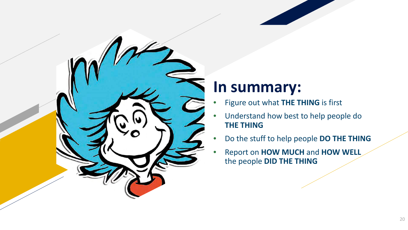

# **In summary:**

- Figure out what **THE THING** is first
- Understand how best to help people do **THE THING**
- Do the stuff to help people **DO THE THING**
- Report on **HOW MUCH** and **HOW WELL**  the people **DID THE THING**